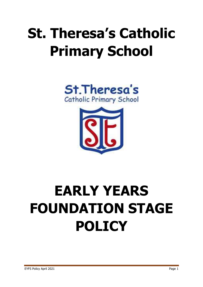# **St. Theresa's Catholic Primary School**





# **EARLY YEARS FOUNDATION STAGE POLICY**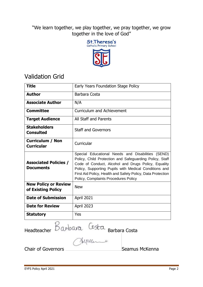"We learn together, we play together, we pray together, we grow together in the love of God"



## Validation Grid

| <b>Title</b>                                      | Early Years Foundation Stage Policy                                                                                                                                                                                                                                                                                                 |
|---------------------------------------------------|-------------------------------------------------------------------------------------------------------------------------------------------------------------------------------------------------------------------------------------------------------------------------------------------------------------------------------------|
| <b>Author</b>                                     | Barbara Costa                                                                                                                                                                                                                                                                                                                       |
| <b>Associate Author</b>                           | N/A                                                                                                                                                                                                                                                                                                                                 |
| <b>Committee</b>                                  | <b>Curriculum and Achievement</b>                                                                                                                                                                                                                                                                                                   |
| <b>Target Audience</b>                            | All Staff and Parents                                                                                                                                                                                                                                                                                                               |
| <b>Stakeholders</b><br><b>Consulted</b>           | <b>Staff and Governors</b>                                                                                                                                                                                                                                                                                                          |
| <b>Curriculum / Non</b><br><b>Curricular</b>      | Curricular                                                                                                                                                                                                                                                                                                                          |
| <b>Associated Policies /</b><br><b>Documents</b>  | Special Educational Needs and Disabilities (SEND)<br>Policy, Child Protection and Safeguarding Policy, Staff<br>Code of Conduct, Alcohol and Drugs Policy, Equality<br>Policy, Supporting Pupils with Medical Conditions and<br>First Aid Policy, Health and Safety Policy, Data Protection<br>Policy, Complaints Procedures Policy |
| <b>New Policy or Review</b><br>of Existing Policy | <b>New</b>                                                                                                                                                                                                                                                                                                                          |
| <b>Date of Submission</b>                         | April 2021                                                                                                                                                                                                                                                                                                                          |
| <b>Date for Review</b>                            | April 2023                                                                                                                                                                                                                                                                                                                          |
| <b>Statutory</b>                                  | Yes                                                                                                                                                                                                                                                                                                                                 |

Headteacher Barbara Costa Barbara Costa

Chair of Governors **Seamus McKenna**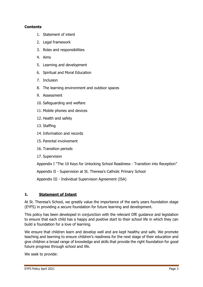## **Contents**

- 1. [Statement of intent](file:///C:/Users/bcosta1.302/Downloads/Early_Years%20Policy_20210329.docx%23_Statement_of_intent_1)
- 2. [Legal framework](file:///C:/Users/bcosta1.302/Downloads/Early_Years%20Policy_20210329.docx%23_Legal_framework_1)
- 3. [Roles and responsibilities](file:///C:/Users/bcosta1.302/Downloads/Early_Years%20Policy_20210329.docx%23_Roles_and_responsibilities_1)
- 4. [Aims](file:///C:/Users/bcosta1.302/Downloads/Early_Years%20Policy_20210329.docx%23_Aims)
- 5. [Learning and development](file:///C:/Users/bcosta1.302/Downloads/Early_Years%20Policy_20210329.docx%23_Learning_and_development)
- 6. Spiritual and Moral Education
- 7. [Inclusion](file:///C:/Users/bcosta1.302/Downloads/Early_Years%20Policy_20210329.docx%23_Inclusion)
- 8. [The learning environment and outdoor spaces](file:///C:/Users/bcosta1.302/Downloads/Early_Years%20Policy_20210329.docx%23_The_learning_environment)
- 9. [Assessment](file:///C:/Users/bcosta1.302/Downloads/Early_Years%20Policy_20210329.docx%23_Assessment)
- 10. [Safeguarding and welfare](file:///C:/Users/bcosta1.302/Downloads/Early_Years%20Policy_20210329.docx%23_Safeguarding_and_welfare)
- 11. [Mobile phones and devices](file:///C:/Users/bcosta1.302/Downloads/Early_Years%20Policy_20210329.docx%23_Mobile_phones_and)
- 12. [Health and safety](file:///C:/Users/bcosta1.302/Downloads/Early_Years%20Policy_20210329.docx%23_Health_and_safety)
- 13. [Staffing](file:///C:/Users/bcosta1.302/Downloads/Early_Years%20Policy_20210329.docx%23_Staffing)
- 14. [Information and records](file:///C:/Users/bcosta1.302/Downloads/Early_Years%20Policy_20210329.docx%23_Information_and_records)
- 15. [Parental involvement](file:///C:/Users/bcosta1.302/Downloads/Early_Years%20Policy_20210329.docx%23_Parental_involvement)
- 16. [Transition periods](file:///C:/Users/bcosta1.302/Downloads/Early_Years%20Policy_20210329.docx%23_Transition_periods)
- 17. Supervision

Appendix I "The 10 Keys for Unlocking School Readiness - Transition into Reception"

Appendix II - Supervision at St. Theresa's Catholic Primary School

Appendix III - Individual Supervision Agreement (ISA)

## **1. Statement of Intent**

At St. Theresa's School, we greatly value the importance of the early years foundation stage (EYFS) in providing a secure foundation for future learning and development.

This policy has been developed in conjunction with the relevant DfE guidance and legislation to ensure that each child has a happy and positive start to their school life in which they can build a foundation for a love of learning.

We ensure that children learn and develop well and are kept healthy and safe. We promote teaching and learning to ensure children's readiness for the next stage of their education and give children a broad range of knowledge and skills that provide the right foundation for good future progress through school and life.

We seek to provide: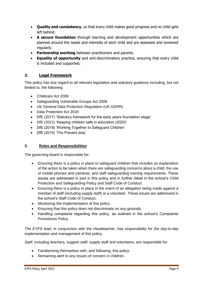- **Quality and consistency**, so that every child makes good progress and no child gets left behind.
- **A secure foundation** through learning and development opportunities which are planned around the needs and interests of each child and are assessed and reviewed regularly.
- **Partnership working** between practitioners and parents.
- **Equality of opportunity** and anti-discriminatory practice, ensuring that every child is included and supported.

## **2. Legal Framework**

This policy has due regard to all relevant legislation and statutory guidance including, but not limited to, the following:

- Childcare Act 2006
- Safeguarding Vulnerable Groups Act 2006
- UK General Data Protection Regulation (UK GDPR)
- Data Protection Act 2018
- DfE (2017) 'Statutory framework for the early years foundation stage'
- DfE (2021) 'Keeping children safe in education (2020)'
- DfE (2018) 'Working Together to Safeguard Children'
- DfE (2015) 'The Prevent duty'

## **3. Roles and Responsibilities**

*The governing board* is responsible for:

- Ensuring there is a policy in place to safeguard children that includes an explanation of the action to be taken when there are safeguarding concerns about a child, the use of mobile phones and cameras, and staff safeguarding training requirements. These issues are addressed in part in this policy and in further detail in the school's Child Protection and Safeguarding Policy and Staff Code of Conduct.
- Ensuring there is a policy in place in the event of an allegation being made against a member of staff (including supply staff) or a volunteer. These issues are addressed in the school's Staff Code of Conduct.
- Monitoring the implementation of this policy.
- Ensuring that this policy does not discriminate on any grounds.
- Handling complaints regarding this policy, as outlined in the school's Complaints Procedures Policy.

*The EYFS lead*, in conjunction with the Headteacher, has responsibility for the day-to-day implementation and management of this policy.

*Staff*, including teachers, support staff, supply staff and volunteers, are responsible for:

- Familiarising themselves with, and following, this policy.
- Remaining alert to any issues of concern in children.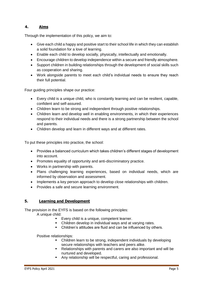## **4. Aims**

Through the implementation of this policy, we aim to:

- Give each child a happy and positive start to their school life in which they can establish a solid foundation for a love of learning.
- Enable each child to develop socially, physically, intellectually and emotionally.
- Encourage children to develop independence within a secure and friendly atmosphere.
- Support children in building relationships through the development of social skills such as cooperation and sharing.
- Work alongside parents to meet each child's individual needs to ensure they reach their full potential.

Four guiding principles shape our practice:

- Every child is a unique child, who is constantly learning and can be resilient, capable, confident and self-assured.
- Children learn to be strong and independent through positive relationships.
- Children learn and develop well in enabling environments, in which their experiences respond to their individual needs and there is a strong partnership between the school and parents.
- Children develop and learn in different ways and at different rates.

To put these principles into practice, the school:

- Provides a balanced curriculum which takes children's different stages of development into account.
- Promotes equality of opportunity and anti-discriminatory practice.
- Works in partnership with parents.
- Plans challenging learning experiences, based on individual needs, which are informed by observation and assessment.
- Implements a key person approach to develop close relationships with children.
- Provides a safe and secure learning environment.

## **5. Learning and Development**

The provision in the EYFS is based on the following principles:

A unique child:

- Every child is a unique, competent learner.
- Children develop in individual ways and at varying rates.
- Children's attitudes are fluid and can be influenced by others.

Positive relationships:

- Children learn to be strong, independent individuals by developing secure relationships with teachers and peers alike.
- Relationships with parents and carers are also important and will be nurtured and developed.
- Any relationship will be respectful, caring and professional.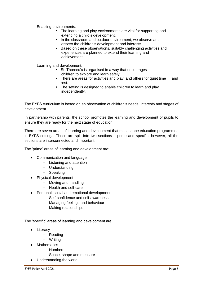Enabling environments:

- The learning and play environments are vital for supporting and extending a child's development.
- In the classroom and outdoor environment, we observe and assess the children's development and interests.
- Based on these observations, suitably challenging activities and experiences are planned to extend their learning and achievement.

Learning and development:

- St. Theresa's is organised in a way that encourages children to explore and learn safely.
- There are areas for activities and play, and others for quiet time and rest.
- The setting is designed to enable children to learn and play independently.

The EYFS curriculum is based on an observation of children's needs, interests and stages of development.

In partnership with parents, the school promotes the learning and development of pupils to ensure they are ready for the next stage of education.

There are seven areas of learning and development that must shape education programmes in EYFS settings. These are split into two sections – prime and specific; however, all the sections are interconnected and important.

The 'prime' areas of learning and development are:

- Communication and language
	- Listening and attention
	- Understanding
	- Speaking
	- Physical development
		- Moving and handling
		- Health and self-care
- Personal, social and emotional development
	- Self-confidence and self-awareness
	- Managing feelings and behaviour
	- Making relationships

The 'specific' areas of learning and development are:

- Literacy
	- Reading
	- Writing
- Mathematics
	- Numbers
	- Space, shape and measure
- Understanding the world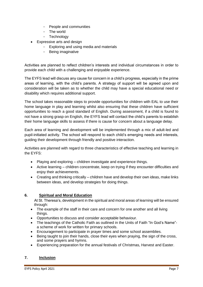- People and communities
- The world
- Technology
- Expressive arts and design
	- Exploring and using media and materials
	- Being imaginative

Activities are planned to reflect children's interests and individual circumstances in order to provide each child with a challenging and enjoyable experience.

The EYFS lead will discuss any cause for concern in a child's progress, especially in the prime areas of learning, with the child's parents. A strategy of support will be agreed upon and consideration will be taken as to whether the child may have a special educational need or disability which requires additional support.

The school takes reasonable steps to provide opportunities for children with EAL to use their home language in play and learning whilst also ensuring that these children have sufficient opportunities to reach a good standard of English. During assessment, if a child is found to not have a strong grasp on English, the EYFS lead will contact the child's parents to establish their home language skills to assess if there is cause for concern about a language delay.

Each area of learning and development will be implemented through a mix of adult-led and pupil-initiated activity. The school will respond to each child's emerging needs and interests, guiding their development through friendly and positive interaction.

Activities are planned with regard to three characteristics of effective teaching and learning in the EYFS:

- Playing and exploring children investigate and experience things.
- Active learning children concentrate, keep on trying if they encounter difficulties and enjoy their achievements.
- Creating and thinking critically children have and develop their own ideas, make links between ideas, and develop strategies for doing things.

## **6. Spiritual and Moral Education**

At St. Theresa's, development in the spiritual and moral areas of learning will be ensured through:

- The example of the staff in their care and concern for one another and all living things.
- Opportunities to discuss and consider acceptable behaviour.
- The teachings of the Catholic Faith as outlined in the Units of Faith "In God's Name"a scheme of work for written for primary schools.
- Encouragement to participate in prayer times and some school assemblies.
- Being taught to join their hands, close their eyes when praying, the sign of the cross, and some prayers and hymns.
- Experiencing preparation for the annual festivals of Christmas, Harvest and Easter.

## **7. Inclusion**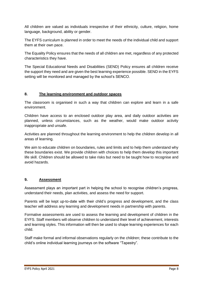All children are valued as individuals irrespective of their ethnicity, culture, religion, home language, background, ability or gender.

The EYFS curriculum is planned in order to meet the needs of the individual child and support them at their own pace.

The Equality Policy ensures that the needs of all children are met, regardless of any protected characteristics they have.

The Special Educational Needs and Disabilities (SEND) Policy ensures all children receive the support they need and are given the best learning experience possible. SEND in the EYFS setting will be monitored and managed by the school's SENCO.

## **8. The learning environment and outdoor spaces**

The classroom is organised in such a way that children can explore and learn in a safe environment.

Children have access to an enclosed outdoor play area, and daily outdoor activities are planned, unless circumstances, such as the weather, would make outdoor activity inappropriate and unsafe.

Activities are planned throughout the learning environment to help the children develop in all areas of learning.

We aim to educate children on boundaries, rules and limits and to help them understand why these boundaries exist. We provide children with choices to help them develop this important life skill. Children should be allowed to take risks but need to be taught how to recognise and avoid hazards.

## **9. Assessment**

Assessment plays an important part in helping the school to recognise children's progress, understand their needs, plan activities, and assess the need for support.

Parents will be kept up-to-date with their child's progress and development, and the class teacher will address any learning and development needs in partnership with parents.

Formative assessments are used to assess the learning and development of children in the EYFS. Staff members will observe children to understand their level of achievement, interests and learning styles. This information will then be used to shape learning experiences for each child.

Staff make formal and informal observations regularly on the children; these contribute to the child's online individual learning journeys on the software "Tapestry".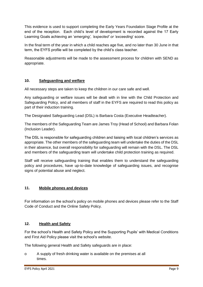This evidence is used to support completing the Early Years Foundation Stage Profile at the end of the reception. Each child's level of development is recorded against the 17 Early Learning Goals achieving an '*emerging', 'expected' or 'exceeding*' score.

In the final term of the year in which a child reaches age five, and no later than 30 June in that term, the EYFS profile will be completed by the child's class teacher.

Reasonable adjustments will be made to the assessment process for children with SEND as appropriate.

## **10. Safeguarding and welfare**

All necessary steps are taken to keep the children in our care safe and well.

Any safeguarding or welfare issues will be dealt with in line with the Child Protection and Safeguarding Policy, and all members of staff in the EYFS are required to read this policy as part of their induction training.

The Designated Safeguarding Lead (DSL) is Barbara Costa (Executive Headteacher).

The members of the Safeguarding Team are James Troy (Head of School) and Barbara Folan (Inclusion Leader).

The DSL is responsible for safeguarding children and liaising with local children's services as appropriate. The other members of the safeguarding team will undertake the duties of the DSL in their absence, but overall responsibility for safeguarding will remain with the DSL. The DSL and members of the safeguarding team will undertake child protection training as required.

Staff will receive safeguarding training that enables them to understand the safeguarding policy and procedures, have up-to-date knowledge of safeguarding issues, and recognise signs of potential abuse and neglect.

## **11. Mobile phones and devices**

For information on the school's policy on mobile phones and devices please refer to the Staff Code of Conduct and the Online Safety Policy.

## **12. Health and Safety**

For the school's Health and Safety Policy and the Supporting Pupils' with Medical Conditions and First Aid Policy please visit the school's website.

The following general Health and Safety safeguards are in place:

o A supply of fresh drinking water is available on the premises at all times.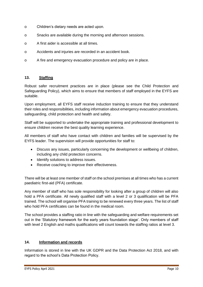- o Children's dietary needs are acted upon.
- o Snacks are available during the morning and afternoon sessions.
- o A first aider is accessible at all times.
- o Accidents and injuries are recorded in an accident book.
- o A fire and emergency evacuation procedure and policy are in place.

#### **13. Staffing**

Robust safer recruitment practices are in place (please see the Child Protection and Safeguarding Policy), which aims to ensure that members of staff employed in the EYFS are suitable.

Upon employment, all EYFS staff receive induction training to ensure that they understand their roles and responsibilities, including information about emergency evacuation procedures, safeguarding, child protection and health and safety.

Staff will be supported to undertake the appropriate training and professional development to ensure children receive the best quality learning experience.

All members of staff who have contact with children and families will be supervised by the EYFS leader. The supervision will provide opportunities for staff to:

- Discuss any issues, particularly concerning the development or wellbeing of children, including any child protection concerns.
- Identify solutions to address issues.
- Receive coaching to improve their effectiveness.

There will be at least one member of staff on the school premises at all times who has a current paediatric first-aid (PFA) certificate.

Any member of staff who has sole responsibility for looking after a group of children will also hold a PFA certificate. All newly qualified staff with a level 2 or 3 qualification will be PFA trained. The school will organise PFA training to be renewed every three years. The list of staff who hold PFA certificates can be found in the medical room.

The school provides a staffing ratio in line with the safeguarding and welfare requirements set out in the 'Statutory framework for the early years foundation stage'. Only members of staff with level 2 English and maths qualifications will count towards the staffing ratios at level 3.

#### **14. Information and records**

Information is stored in line with the UK GDPR and the Data Protection Act 2018, and with regard to the school's Data Protection Policy.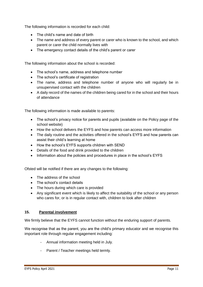The following information is recorded for each child:

- The child's name and date of birth
- The name and address of every parent or carer who is known to the school, and which parent or carer the child normally lives with
- The emergency contact details of the child's parent or carer

The following information about the school is recorded:

- The school's name, address and telephone number
- The school's certificate of registration
- The name, address and telephone number of anyone who will regularly be in unsupervised contact with the children
- A daily record of the names of the children being cared for in the school and their hours of attendance

The following information is made available to parents:

- The school's privacy notice for parents and pupils (available on the Policy page of the school website)
- How the school delivers the EYFS and how parents can access more information
- The daily routine and the activities offered in the school's EYFS and how parents can assist their child's learning at home
- How the school's EYFS supports children with SEND
- Details of the food and drink provided to the children
- Information about the policies and procedures in place in the school's EYFS

Ofsted will be notified if there are any changes to the following:

- The address of the school
- The school's contact details
- The hours during which care is provided
- Any significant event which is likely to affect the suitability of the school or any person who cares for, or is in regular contact with, children to look after children

## **15. Parental involvement**

We firmly believe that the EYFS cannot function without the enduring support of parents.

We recognise that as the parent, you are the child's primary educator and we recognise this important role through regular engagement including:

- Annual information meeting held in July.
- Parent / Teacher meetings held termly.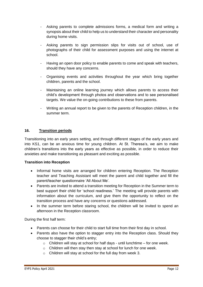- Asking parents to complete admissions forms, a medical form and writing a synopsis about their child to help us to understand their character and personality during home visits.
- Asking parents to sign permission slips for visits out of school, use of photographs of their child for assessment purposes and using the internet at school.
- Having an open door policy to enable parents to come and speak with teachers, should they have any concerns.
- Organising events and activities throughout the year which bring together children, parents and the school.
- Maintaining an online learning journey which allows parents to access their child's development through photos and observations and to see personalised targets. We value the on-going contributions to these from parents.
- Writing an annual report to be given to the parents of Reception children, in the summer term.

## **16. Transition periods**

Transitioning into an early years setting, and through different stages of the early years and into KS1, can be an anxious time for young children. At St. Theresa's, we aim to make children's transitions into the early years as effective as possible, in order to reduce their anxieties and make transitioning as pleasant and exciting as possible.

#### **Transition into Reception**

- Informal home visits are arranged for children entering Reception. The Reception teacher and Teaching Assistant will meet the parent and child together and fill the parent/teacher questionnaire 'All About Me'.
- Parents are invited to attend a transition meeting for Reception in the Summer term to best support their child for 'school readiness.' The meeting will provide parents with information about the curriculum, and give them the opportunity to reflect on the transition process and have any concerns or questions addressed.
- In the summer term before staring school, the children will be invited to spend an afternoon in the Reception classroom.

During the first half term:

- Parents can choose for their child to start full time from their first day in school.
- Parents also have the option to stagger entry into the Reception class. Should they choose to stagger their child's entry;
	- $\circ$  Children will stay at school for half days until lunchtime for one week.
	- o Children will then stay then stay at school for lunch for one week.
	- o Children will stay at school for the full day from week 3.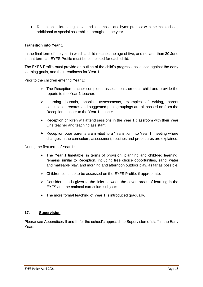Reception children begin to attend assemblies and hymn practice with the main school, additional to special assemblies throughout the year.

## **Transition into Year 1**

In the final term of the year in which a child reaches the age of five, and no later than 30 June in that term, an EYFS Profile must be completed for each child.

The EYFS Profile must provide an outline of the child's progress, assessed against the early learning goals, and their readiness for Year 1.

Prior to the children entering Year 1:

- $\triangleright$  The Reception teacher completes assessments on each child and provide the reports to the Year 1 teacher.
- $\triangleright$  Learning journals, phonics assessments, examples of writing, parent consultation records and suggested pupil groupings are all passed on from the Reception teacher to the Year 1 teacher.
- $\triangleright$  Reception children will attend sessions in the Year 1 classroom with their Year One teacher and teaching assistant.
- $\triangleright$  Reception pupil parents are invited to a 'Transition into Year 1' meeting where changes in the curriculum, assessment, routines and procedures are explained.

During the first term of Year 1:

- $\triangleright$  The Year 1 timetable, in terms of provision, planning and child-led learning, remains similar to Reception, including free choice opportunities, sand, water and malleable play, and morning and afternoon outdoor play, as far as possible.
- $\triangleright$  Children continue to be assessed on the EYFS Profile, if appropriate.
- $\triangleright$  Consideration is given to the links between the seven areas of learning in the EYFS and the national curriculum subjects.
- $\triangleright$  The more formal teaching of Year 1 is introduced gradually.

#### **17. Supervision**

Please see Appendices II and III for the school's approach to Supervision of staff in the Early Years.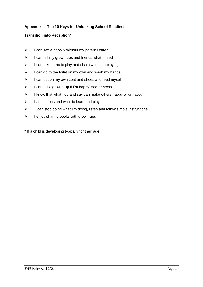## **Appendix I - The 10 Keys for Unlocking School Readiness**

## **Transition into Reception\***

- $\triangleright$  I can settle happily without my parent / carer
- $\triangleright$  I can tell my grown-ups and friends what I need
- $\triangleright$  I can take turns to play and share when I'm playing
- $\triangleright$  I can go to the toilet on my own and wash my hands
- $\triangleright$  I can put on my own coat and shoes and feed myself
- $\triangleright$  I can tell a grown- up if I'm happy, sad or cross
- $\triangleright$  I know that what I do and say can make others happy or unhappy
- $\triangleright$  I am curious and want to learn and play
- $\triangleright$  I can stop doing what I'm doing, listen and follow simple instructions
- $\triangleright$  I enjoy sharing books with grown-ups

\* If a child is developing typically for their age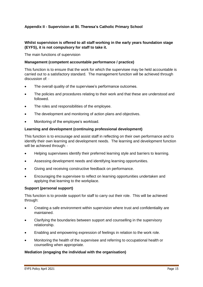## **Appendix II - Supervision at St. Theresa's Catholic Primary School**

## **Whilst supervision is offered to all staff working in the early years foundation stage (EYFS), it is not compulsory for staff to take it.**

The main functions of supervision

## **Management (competent accountable performance / practice)**

This function is to ensure that the work for which the supervisee may be held accountable is carried out to a satisfactory standard. The management function will be achieved through discussion of:  $\cdot$ 

- The overall quality of the supervisee's performance outcomes.
- The policies and procedures relating to their work and that these are understood and followed.
- The roles and responsibilities of the employee.
- The development and monitoring of action plans and objectives.
- Monitoring of the employee's workload.

## **Learning and development (continuing professional development)**

This function is to encourage and assist staff in reflecting on their own performance and to identify their own learning and development needs. The learning and development function will be achieved through:  $\cdot$ 

- Helping supervisees identify their preferred learning style and barriers to learning.
- Assessing development needs and identifying learning opportunities.
- Giving and receiving constructive feedback on performance.
- Encouraging the supervisee to reflect on learning opportunities undertaken and applying that learning to the workplace.

#### **Support (personal support)**

This function is to provide support for staff to carry out their role. This will be achieved through:

- Creating a safe environment within supervision where trust and confidentiality are maintained.
- Clarifying the boundaries between support and counselling in the supervisory relationship.
- Enabling and empowering expression of feelings in relation to the work role.
- Monitoring the health of the supervisee and referring to occupational health or counselling when appropriate.

#### **Mediation (engaging the individual with the organisation)**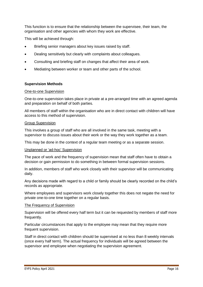This function is to ensure that the relationship between the supervisee, their team, the organisation and other agencies with whom they work are effective.

This will be achieved through:

- Briefing senior managers about key issues raised by staff.
- Dealing sensitively but clearly with complaints about colleagues.
- Consulting and briefing staff on changes that affect their area of work.
- Mediating between worker or team and other parts of the school.

#### **Supervision Methods**

#### One-to-one Supervision

One-to-one supervision takes place in private at a pre-arranged time with an agreed agenda and preparation on behalf of both parties.

All members of staff within the organisation who are in direct contact with children will have access to this method of supervision.

#### Group Supervision

This involves a group of staff who are all involved in the same task, meeting with a supervisor to discuss issues about their work or the way they work together as a team.

This may be done in the context of a regular team meeting or as a separate session.

#### Unplanned or 'ad-hoc' Supervision

The pace of work and the frequency of supervision mean that staff often have to obtain a decision or gain permission to do something in between formal supervision sessions.

In addition, members of staff who work closely with their supervisor will be communicating daily.

Any decisions made with regard to a child or family should be clearly recorded on the child's records as appropriate.

Where employees and supervisors work closely together this does not negate the need for private one-to-one time together on a regular basis.

#### The Frequency of Supervision

Supervision will be offered every half term but it can be requested by members of staff more frequently.

Particular circumstances that apply to the employee may mean that they require more frequent supervision.

Staff in direct contact with children should be supervised at no less than 8 weekly intervals (once every half term). The actual frequency for individuals will be agreed between the supervisor and employee when negotiating the supervision agreement.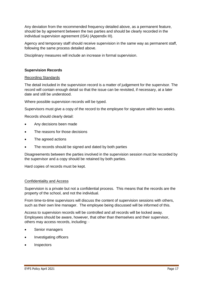Any deviation from the recommended frequency detailed above, as a permanent feature, should be by agreement between the two parties and should be clearly recorded in the individual supervision agreement (ISA) (Appendix III).

Agency and temporary staff should receive supervision in the same way as permanent staff, following the same process detailed above.

Disciplinary measures will include an increase in formal supervision.

### **Supervision Records**

#### Recording Standards

The detail included in the supervision record is a matter of judgement for the supervisor. The record will contain enough detail so that the issue can be revisited, if necessary, at a later date and still be understood.

Where possible supervision records will be typed.

Supervisors must give a copy of the record to the employee for signature within two weeks.

Records should clearly detail:

- Any decisions been made
- The reasons for those decisions
- The agreed actions
- The records should be signed and dated by both parties

Disagreements between the parties involved in the supervision session must be recorded by the supervisor and a copy should be retained by both parties.

Hard copies of records must be kept.

#### Confidentiality and Access

Supervision is a private but not a confidential process. This means that the records are the property of the school, and not the individual.

From time-to-time supervisors will discuss the content of supervision sessions with others, such as their own line manager. The employee being discussed will be informed of this.

Access to supervision records will be controlled and all records will be locked away. Employees should be aware, however, that other than themselves and their supervisor, others may access records, including: ·

- Senior managers
- Investigating officers
- **Inspectors**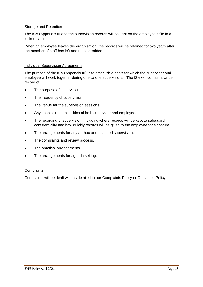#### Storage and Retention

The ISA (Appendix III and the supervision records will be kept on the employee's file in a locked cabinet.

When an employee leaves the organisation, the records will be retained for two years after the member of staff has left and then shredded.

### Individual Supervision Agreements

The purpose of the ISA (Appendix III) is to establish a basis for which the supervisor and employee will work together during one-to-one supervisions. The ISA will contain a written record of:

- The purpose of supervision.
- The frequency of supervision.
- The venue for the supervision sessions.
- Any specific responsibilities of both supervisor and employee.
- The recording of supervision, including where records will be kept to safeguard confidentiality and how quickly records will be given to the employee for signature.
- The arrangements for any ad-hoc or unplanned supervision.
- The complaints and review process.
- The practical arrangements.
- The arrangements for agenda setting.

#### **Complaints**

Complaints will be dealt with as detailed in our Complaints Policy or Grievance Policy.